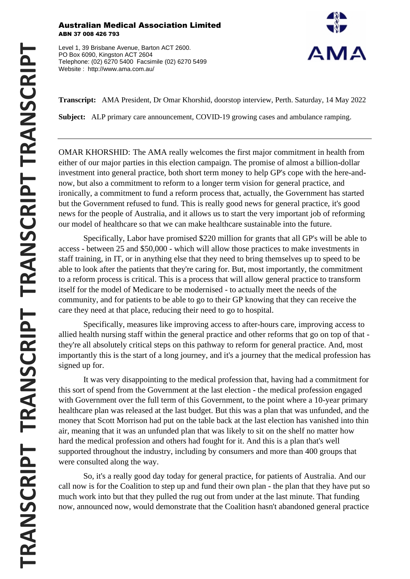## Australian Medical Association Limited ABN 37 008 426 793

Level 1, 39 Brisbane Avenue, Barton ACT 2600. PO Box 6090, Kingston ACT 2604 Telephone: (02) 6270 5400 Facsimile (02) 6270 5499 Website : http://www.ama.com.au/



**Transcript:** AMA President, Dr Omar Khorshid, doorstop interview, Perth. Saturday, 14 May 2022

**Subject:** ALP primary care announcement, COVID-19 growing cases and ambulance ramping.

OMAR KHORSHID: The AMA really welcomes the first major commitment in health from either of our major parties in this election campaign. The promise of almost a billion-dollar investment into general practice, both short term money to help GP's cope with the here-andnow, but also a commitment to reform to a longer term vision for general practice, and ironically, a commitment to fund a reform process that, actually, the Government has started but the Government refused to fund. This is really good news for general practice, it's good news for the people of Australia, and it allows us to start the very important job of reforming our model of healthcare so that we can make healthcare sustainable into the future.

Specifically, Labor have promised \$220 million for grants that all GP's will be able to access - between 25 and \$50,000 - which will allow those practices to make investments in staff training, in IT, or in anything else that they need to bring themselves up to speed to be able to look after the patients that they're caring for. But, most importantly, the commitment to a reform process is critical. This is a process that will allow general practice to transform itself for the model of Medicare to be modernised - to actually meet the needs of the community, and for patients to be able to go to their GP knowing that they can receive the care they need at that place, reducing their need to go to hospital.

Specifically, measures like improving access to after-hours care, improving access to allied health nursing staff within the general practice and other reforms that go on top of that they're all absolutely critical steps on this pathway to reform for general practice. And, most importantly this is the start of a long journey, and it's a journey that the medical profession has signed up for.

It was very disappointing to the medical profession that, having had a commitment for this sort of spend from the Government at the last election - the medical profession engaged with Government over the full term of this Government, to the point where a 10-year primary healthcare plan was released at the last budget. But this was a plan that was unfunded, and the money that Scott Morrison had put on the table back at the last election has vanished into thin air, meaning that it was an unfunded plan that was likely to sit on the shelf no matter how hard the medical profession and others had fought for it. And this is a plan that's well supported throughout the industry, including by consumers and more than 400 groups that were consulted along the way.

So, it's a really good day today for general practice, for patients of Australia. And our call now is for the Coalition to step up and fund their own plan - the plan that they have put so much work into but that they pulled the rug out from under at the last minute. That funding now, announced now, would demonstrate that the Coalition hasn't abandoned general practice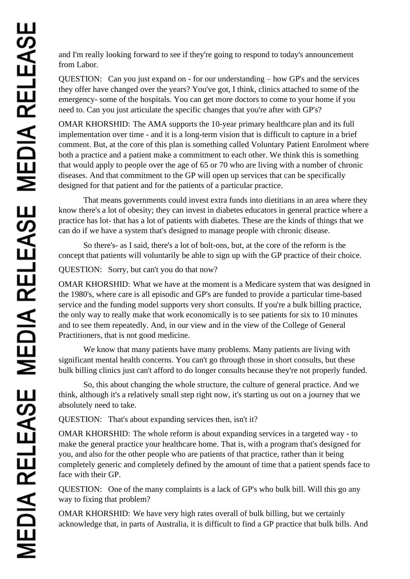and I'm really looking forward to see if they're going to respond to today's announcement from Labor.

QUESTION: Can you just expand on - for our understanding – how GP's and the services they offer have changed over the years? You've got, I think, clinics attached to some of the emergency- some of the hospitals. You can get more doctors to come to your home if you need to. Can you just articulate the specific changes that you're after with GP's?

OMAR KHORSHID: The AMA supports the 10-year primary healthcare plan and its full implementation over time - and it is a long-term vision that is difficult to capture in a brief comment. But, at the core of this plan is something called Voluntary Patient Enrolment where both a practice and a patient make a commitment to each other. We think this is something that would apply to people over the age of 65 or 70 who are living with a number of chronic diseases. And that commitment to the GP will open up services that can be specifically designed for that patient and for the patients of a particular practice.

That means governments could invest extra funds into dietitians in an area where they know there's a lot of obesity; they can invest in diabetes educators in general practice where a practice has lot- that has a lot of patients with diabetes. These are the kinds of things that we can do if we have a system that's designed to manage people with chronic disease.

So there's- as I said, there's a lot of bolt-ons, but, at the core of the reform is the concept that patients will voluntarily be able to sign up with the GP practice of their choice.

QUESTION: Sorry, but can't you do that now?

OMAR KHORSHID: What we have at the moment is a Medicare system that was designed in the 1980's, where care is all episodic and GP's are funded to provide a particular time-based service and the funding model supports very short consults. If you're a bulk billing practice, the only way to really make that work economically is to see patients for six to 10 minutes and to see them repeatedly. And, in our view and in the view of the College of General Practitioners, that is not good medicine.

We know that many patients have many problems. Many patients are living with significant mental health concerns. You can't go through those in short consults, but these bulk billing clinics just can't afford to do longer consults because they're not properly funded.

So, this about changing the whole structure, the culture of general practice. And we think, although it's a relatively small step right now, it's starting us out on a journey that we absolutely need to take.

QUESTION: That's about expanding services then, isn't it?

OMAR KHORSHID: The whole reform is about expanding services in a targeted way - to make the general practice your healthcare home. That is, with a program that's designed for you, and also for the other people who are patients of that practice, rather than it being completely generic and completely defined by the amount of time that a patient spends face to face with their GP.

QUESTION: One of the many complaints is a lack of GP's who bulk bill. Will this go any way to fixing that problem?

OMAR KHORSHID: We have very high rates overall of bulk billing, but we certainly acknowledge that, in parts of Australia, it is difficult to find a GP practice that bulk bills. And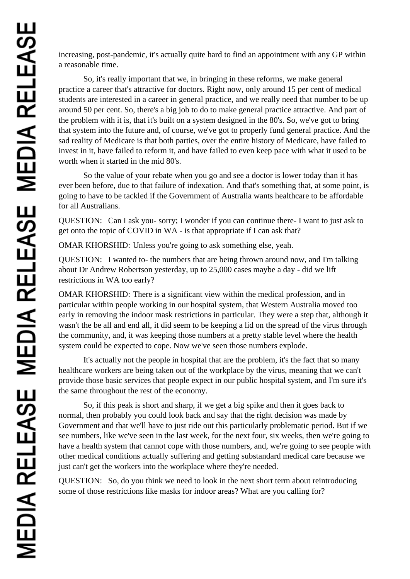increasing, post-pandemic, it's actually quite hard to find an appointment with any GP within a reasonable time.

So, it's really important that we, in bringing in these reforms, we make general practice a career that's attractive for doctors. Right now, only around 15 per cent of medical students are interested in a career in general practice, and we really need that number to be up around 50 per cent. So, there's a big job to do to make general practice attractive. And part of the problem with it is, that it's built on a system designed in the 80's. So, we've got to bring that system into the future and, of course, we've got to properly fund general practice. And the sad reality of Medicare is that both parties, over the entire history of Medicare, have failed to invest in it, have failed to reform it, and have failed to even keep pace with what it used to be worth when it started in the mid 80's.

So the value of your rebate when you go and see a doctor is lower today than it has ever been before, due to that failure of indexation. And that's something that, at some point, is going to have to be tackled if the Government of Australia wants healthcare to be affordable for all Australians.

QUESTION: Can I ask you- sorry; I wonder if you can continue there- I want to just ask to get onto the topic of COVID in WA - is that appropriate if I can ask that?

OMAR KHORSHID: Unless you're going to ask something else, yeah.

QUESTION: I wanted to- the numbers that are being thrown around now, and I'm talking about Dr Andrew Robertson yesterday, up to 25,000 cases maybe a day - did we lift restrictions in WA too early?

OMAR KHORSHID: There is a significant view within the medical profession, and in particular within people working in our hospital system, that Western Australia moved too early in removing the indoor mask restrictions in particular. They were a step that, although it wasn't the be all and end all, it did seem to be keeping a lid on the spread of the virus through the community, and, it was keeping those numbers at a pretty stable level where the health system could be expected to cope. Now we've seen those numbers explode.

It's actually not the people in hospital that are the problem, it's the fact that so many healthcare workers are being taken out of the workplace by the virus, meaning that we can't provide those basic services that people expect in our public hospital system, and I'm sure it's the same throughout the rest of the economy.

So, if this peak is short and sharp, if we get a big spike and then it goes back to normal, then probably you could look back and say that the right decision was made by Government and that we'll have to just ride out this particularly problematic period. But if we see numbers, like we've seen in the last week, for the next four, six weeks, then we're going to have a health system that cannot cope with those numbers, and, we're going to see people with other medical conditions actually suffering and getting substandard medical care because we just can't get the workers into the workplace where they're needed.

QUESTION: So, do you think we need to look in the next short term about reintroducing some of those restrictions like masks for indoor areas? What are you calling for?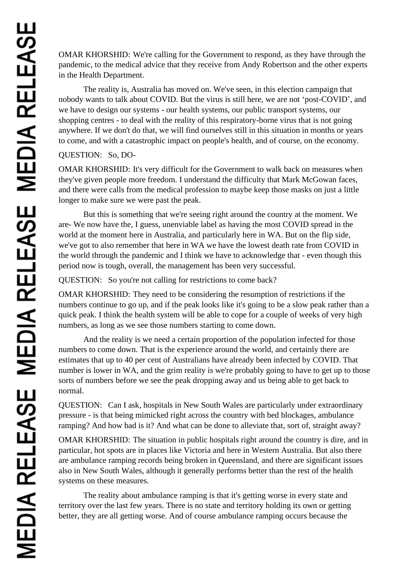OMAR KHORSHID: We're calling for the Government to respond, as they have through the pandemic, to the medical advice that they receive from Andy Robertson and the other experts in the Health Department.

The reality is, Australia has moved on. We've seen, in this election campaign that nobody wants to talk about COVID. But the virus is still here, we are not 'post-COVID', and we have to design our systems - our health systems, our public transport systems, our shopping centres - to deal with the reality of this respiratory-borne virus that is not going anywhere. If we don't do that, we will find ourselves still in this situation in months or years to come, and with a catastrophic impact on people's health, and of course, on the economy.

## QUESTION: So, DO-

OMAR KHORSHID: It's very difficult for the Government to walk back on measures when they've given people more freedom. I understand the difficulty that Mark McGowan faces, and there were calls from the medical profession to maybe keep those masks on just a little longer to make sure we were past the peak.

But this is something that we're seeing right around the country at the moment. We are- We now have the, I guess, unenviable label as having the most COVID spread in the world at the moment here in Australia, and particularly here in WA. But on the flip side, we've got to also remember that here in WA we have the lowest death rate from COVID in the world through the pandemic and I think we have to acknowledge that - even though this period now is tough, overall, the management has been very successful.

QUESTION: So you're not calling for restrictions to come back?

OMAR KHORSHID: They need to be considering the resumption of restrictions if the numbers continue to go up, and if the peak looks like it's going to be a slow peak rather than a quick peak. I think the health system will be able to cope for a couple of weeks of very high numbers, as long as we see those numbers starting to come down.

And the reality is we need a certain proportion of the population infected for those numbers to come down. That is the experience around the world, and certainly there are estimates that up to 40 per cent of Australians have already been infected by COVID. That number is lower in WA, and the grim reality is we're probably going to have to get up to those sorts of numbers before we see the peak dropping away and us being able to get back to normal.

QUESTION: Can I ask, hospitals in New South Wales are particularly under extraordinary pressure - is that being mimicked right across the country with bed blockages, ambulance ramping? And how bad is it? And what can be done to alleviate that, sort of, straight away?

OMAR KHORSHID: The situation in public hospitals right around the country is dire, and in particular, hot spots are in places like Victoria and here in Western Australia. But also there are ambulance ramping records being broken in Queensland, and there are significant issues also in New South Wales, although it generally performs better than the rest of the health systems on these measures.

The reality about ambulance ramping is that it's getting worse in every state and territory over the last few years. There is no state and territory holding its own or getting better, they are all getting worse. And of course ambulance ramping occurs because the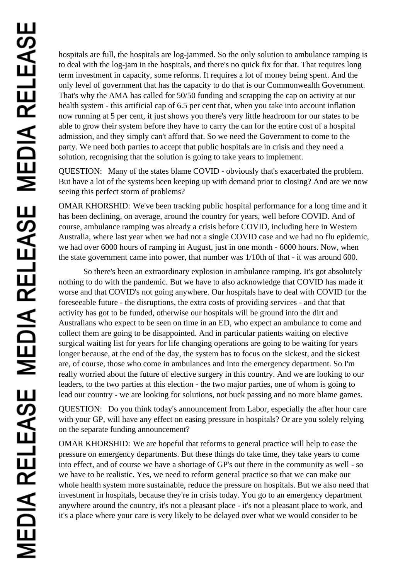hospitals are full, the hospitals are log-jammed. So the only solution to ambulance ramping is to deal with the log-jam in the hospitals, and there's no quick fix for that. That requires long term investment in capacity, some reforms. It requires a lot of money being spent. And the only level of government that has the capacity to do that is our Commonwealth Government. That's why the AMA has called for 50/50 funding and scrapping the cap on activity at our health system - this artificial cap of 6.5 per cent that, when you take into account inflation now running at 5 per cent, it just shows you there's very little headroom for our states to be able to grow their system before they have to carry the can for the entire cost of a hospital admission, and they simply can't afford that. So we need the Government to come to the party. We need both parties to accept that public hospitals are in crisis and they need a solution, recognising that the solution is going to take years to implement.

QUESTION: Many of the states blame COVID - obviously that's exacerbated the problem. But have a lot of the systems been keeping up with demand prior to closing? And are we now seeing this perfect storm of problems?

OMAR KHORSHID: We've been tracking public hospital performance for a long time and it has been declining, on average, around the country for years, well before COVID. And of course, ambulance ramping was already a crisis before COVID, including here in Western Australia, where last year when we had not a single COVID case and we had no flu epidemic, we had over 6000 hours of ramping in August, just in one month - 6000 hours. Now, when the state government came into power, that number was 1/10th of that - it was around 600.

So there's been an extraordinary explosion in ambulance ramping. It's got absolutely nothing to do with the pandemic. But we have to also acknowledge that COVID has made it worse and that COVID's not going anywhere. Our hospitals have to deal with COVID for the foreseeable future - the disruptions, the extra costs of providing services - and that that activity has got to be funded, otherwise our hospitals will be ground into the dirt and Australians who expect to be seen on time in an ED, who expect an ambulance to come and collect them are going to be disappointed. And in particular patients waiting on elective surgical waiting list for years for life changing operations are going to be waiting for years longer because, at the end of the day, the system has to focus on the sickest, and the sickest are, of course, those who come in ambulances and into the emergency department. So I'm really worried about the future of elective surgery in this country. And we are looking to our leaders, to the two parties at this election - the two major parties, one of whom is going to lead our country - we are looking for solutions, not buck passing and no more blame games.

QUESTION: Do you think today's announcement from Labor, especially the after hour care with your GP, will have any effect on easing pressure in hospitals? Or are you solely relying on the separate funding announcement?

OMAR KHORSHID: We are hopeful that reforms to general practice will help to ease the pressure on emergency departments. But these things do take time, they take years to come into effect, and of course we have a shortage of GP's out there in the community as well - so we have to be realistic. Yes, we need to reform general practice so that we can make our whole health system more sustainable, reduce the pressure on hospitals. But we also need that investment in hospitals, because they're in crisis today. You go to an emergency department anywhere around the country, it's not a pleasant place - it's not a pleasant place to work, and it's a place where your care is very likely to be delayed over what we would consider to be